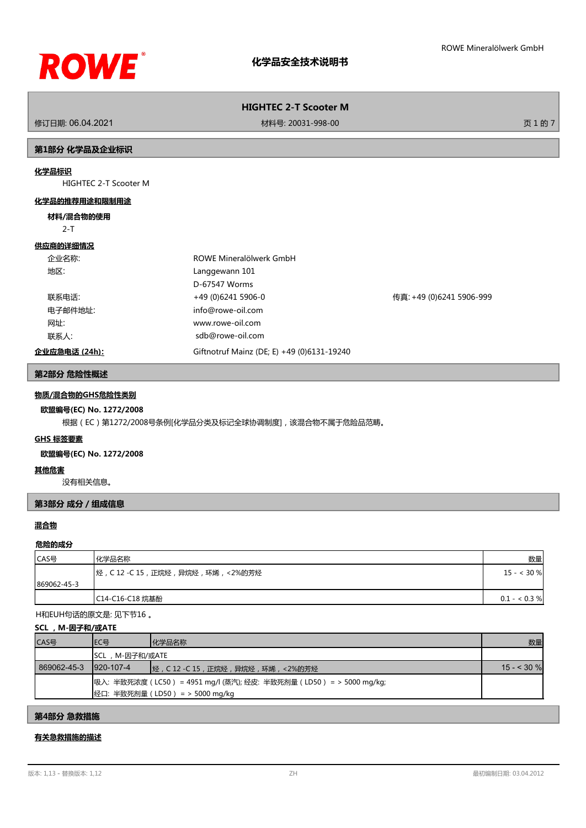

修订日期: 06.04.2021 材料号: 20031-998-00 页 1 的 7

## **第1部分 化学品及企业标识**

## **化学品标识**

HIGHTEC 2-T Scooter M

### **化学品的推荐用途和限制用途**

#### **材料/混合物的使用**

2-T

# **供应商的详细情况**

| 企业名称:         | ROWE Mineralölwerk GmbH                    |                          |
|---------------|--------------------------------------------|--------------------------|
| 地区:           | Langgewann 101                             |                          |
|               | D-67547 Worms                              |                          |
| 联系电话:         | +49 (0)6241 5906-0                         | 传真: +49 (0)6241 5906-999 |
| 电子邮件地址:       | info@rowe-oil.com                          |                          |
| 网址:           | www.rowe-oil.com                           |                          |
| 联系人:          | sdb@rowe-oil.com                           |                          |
| 企业应急电话 (24h): | Giftnotruf Mainz (DE; E) +49 (0)6131-19240 |                          |

#### **第2部分 危险性概述**

## **物质/混合物的GHS危险性类别**

#### **欧盟编号(EC) No. 1272/2008**

根据(EC)第1272/2008号条例[化学品分类及标记全球协调制度],该混合物不属于危险品范畴。

## **GHS 标签要素**

## **欧盟编号(EC) No. 1272/2008**

#### **其他危害**

没有相关信息。

### **第3部分 成分/组成信息**

## **混合物**

#### **危险的成分**

| CAS号        | 化学品名称                                     | 数量            |
|-------------|-------------------------------------------|---------------|
|             | ┃烃 , C 12 -C 15 , 正烷烃 , 异烷烃 , 环烯 , <2%的芳烃 | $15 - < 30 %$ |
| 869062-45-3 |                                           |               |
|             | C14-C16-C18 烷基酚                           | $0.1 - 0.3 %$ |

H和EUH句话的原文是: 见下节16 。

#### **SCL ,M-因子和/或ATE**

| CAS号        | IEC목           | 化学品名称                                                                                                       | 数量          |
|-------------|----------------|-------------------------------------------------------------------------------------------------------------|-------------|
|             | SCL,M-因子和/或ATE |                                                                                                             |             |
| 869062-45-3 | 1920-107-4     |                                                                                                             | $15 - 30$ % |
|             |                | 吸入: 半致死浓度 ( LC50 ) = 4951 mg/l (蒸汽); 经皮: 半致死剂量 ( LD50 ) = > 5000 mg/kg;<br> 经口: 半致死剂量 (LD50) = > 5000 mg/kg |             |

## **第4部分 急救措施**

## **有关急救措施的描述**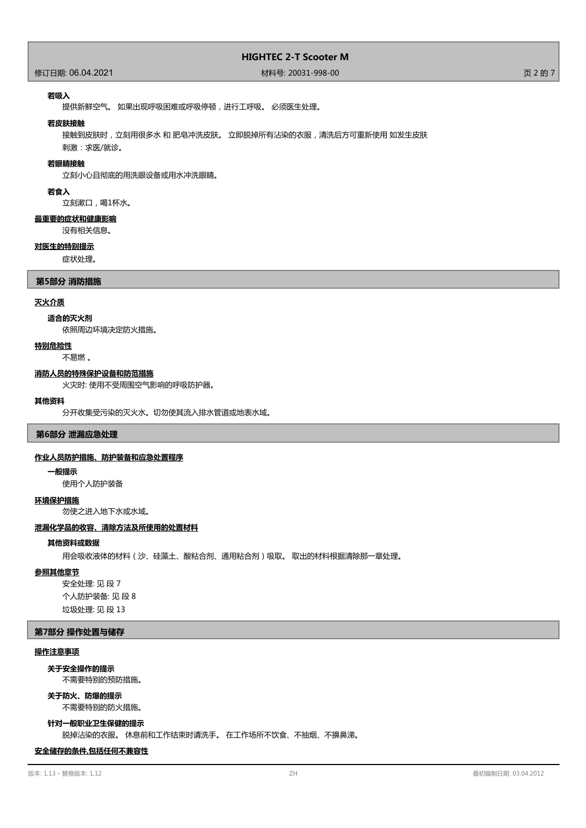## 修订日期: 06.04.2021 材料号: 20031-998-00 页 2 的 7

#### **若吸入**

提供新鲜空气。 如果出现呼吸困难或呼吸停顿,进行工呼吸。 必须医生处理。

#### **若皮肤接触**

接触到皮肤时,立刻用很多水 和 肥皂冲洗皮肤。 立即脱掉所有沾染的衣服,清洗后方可重新使用 如发生皮肤

刺激:求医/就诊。

## **若眼睛接触**

立刻小心且彻底的用洗眼设备或用水冲洗眼睛。

#### **若食入**

立刻漱口,喝1杯水。

### **最重要的症状和健康影响**

没有相关信息。

#### **对医生的特别提示**

症状处理。

#### **第5部分 消防措施**

#### **灭火介质**

#### **适合的灭火剂**

依照周边环境决定防火措施。

#### **特别危险性**

不易燃 。

#### **消防人员的特殊保护设备和防范措施**

火灾时: 使用不受周围空气影响的呼吸防护器。

#### **其他资料**

分开收集受污染的灭火水。切勿使其流入排水管道或地表水域。

#### **第6部分 泄漏应急处理**

#### **作业人员防护措施、防护装备和应急处置程序**

#### **一般提示**

使用个人防护装备

#### **环境保护措施**

勿使之进入地下水或水域。

#### **泄漏化学品的收容、清除方法及所使用的处置材料**

#### **其他资料或数据**

用会吸收液体的材料(沙、硅藻土、酸粘合剂、通用粘合剂)吸取。 取出的材料根据清除那一章处理。

#### **参照其他章节**

安全处理: 见 段 7 个人防护装备: 见 段 8 垃圾处理: 见 段 13

#### **第7部分 操作处置与储存**

#### **操作注意事项**

#### **关于安全操作的提示**

不需要特别的预防措施。

#### 不需要特别的防火措施。 **关于防火、防爆的提示**

**针对一般职业卫生保健的提示**

脱掉沾染的衣服。 休息前和工作结束时请洗手。 在工作场所不饮食、不抽烟、不擤鼻涕。

#### **安全储存的条件,包括任何不兼容性**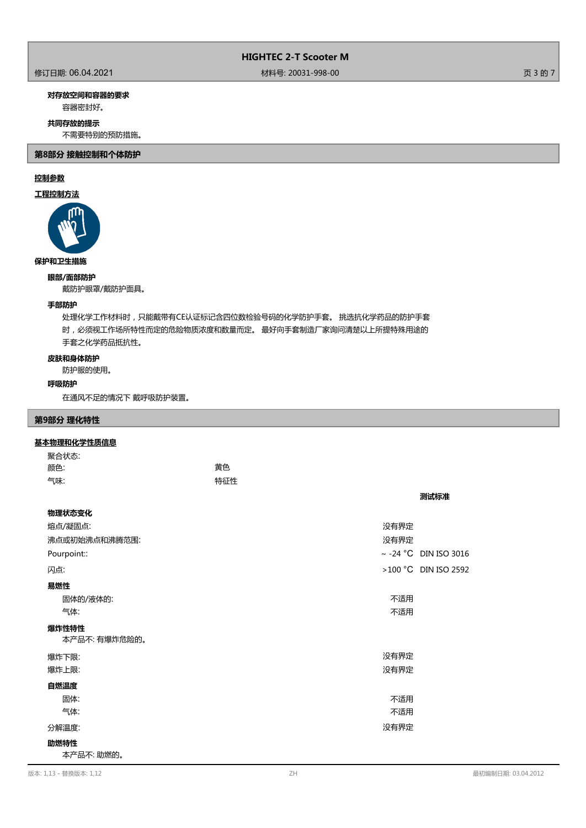## 修订日期: 06.04.2021 材料号: 20031-998-00 页 3 的 7

## **对存放空间和容器的要求**

容器密封好。

## **共同存放的提示**

不需要特别的预防措施。

**第8部分 接触控制和个体防护**

## **控制参数**

## **工程控制方法**



# **保护和卫生措施**

**眼部/面部防护**

戴防护眼罩/戴防护面具。

## **手部防护**

处理化学工作材料时,只能戴带有CE认证标记含四位数检验号码的化学防护手套。 挑选抗化学药品的防护手套 时,必须视工作场所特性而定的危险物质浓度和数量而定。 最好向手套制造厂家询问清楚以上所提特殊用途的 手套之化学药品抵抗性。

## **皮肤和身体防护**

防护服的使用。

#### **呼吸防护**

在通风不足的情况下 戴呼吸防护装置。

## **第9部分 理化特性**

## **基本物理和化学性质信息**

| 聚合状态: |     |
|-------|-----|
| 颜色:   | 黄色  |
| 气味:   | 特征性 |

| 物理状态变化        |                            |
|---------------|----------------------------|
| 熔点/凝固点:       | 没有界定                       |
| 沸点或初始沸点和沸腾范围: | 没有界定                       |
| Pourpoint::   | $\sim$ -24 °C DIN ISO 3016 |
| 闪点:           | >100 °C DIN ISO 2592       |
| 易燃性           |                            |
| 固体的/液体的:      | 不适用                        |
| 气体:           | 不适用                        |
| 爆炸性特性         |                            |
| 本产品不:有爆炸危险的。  |                            |
| 爆炸下限:         | 没有界定                       |
| 爆炸上限:         | 没有界定                       |
| 自燃温度          |                            |
| 固体:           | 不适用                        |
| 气体:           | 不适用                        |
| 分解温度:         | 没有界定                       |
| 助燃特性          |                            |
| 本产品不: 助燃的。    |                            |

**测试标准**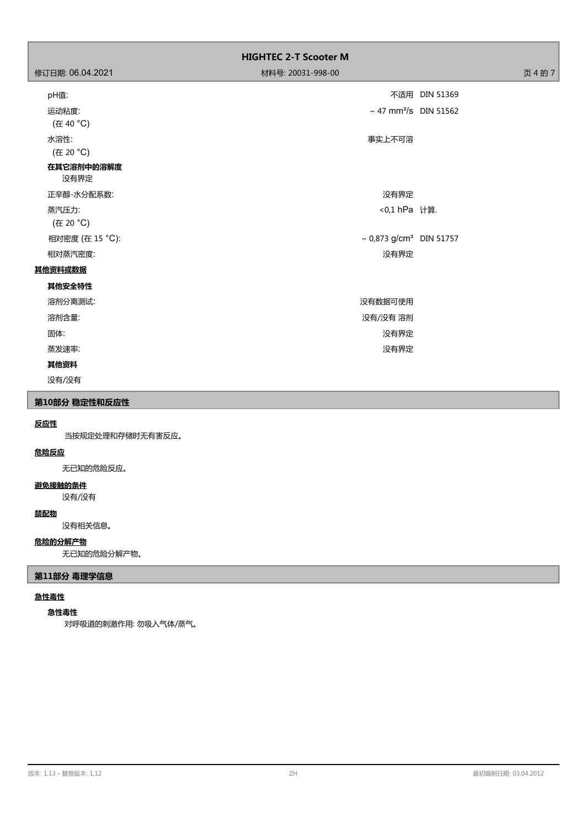|                    | <b>HIGHTEC 2-T Scooter M</b>             |               |
|--------------------|------------------------------------------|---------------|
| 修订日期: 06.04.2021   | 材料号: 20031-998-00                        | 页 4 的 7       |
| pH值:               |                                          | 不适用 DIN 51369 |
| 运动粘度:<br>(在 40 °C) | ~ 47 mm <sup>2</sup> /s DIN 51562        |               |
| 水溶性:<br>(在 20 °C)  | 事实上不可溶                                   |               |
| 在其它溶剂中的溶解度<br>没有界定 |                                          |               |
| 正辛醇-水分配系数:         | 没有界定                                     |               |
| 蒸汽压力:<br>(在 20 °C) | <0,1 hPa 计算.                             |               |
| 相对密度 (在 15 °C):    | $\sim 0.873$ g/cm <sup>3</sup> DIN 51757 |               |
| 相对蒸汽密度:            | 没有界定                                     |               |
| 其他资料或数据            |                                          |               |
| 其他安全特性             |                                          |               |
| 溶剂分离测试:            | 没有数据可使用                                  |               |
| 溶剂含量:              | 没有/没有 溶剂                                 |               |
| 固体:                | 没有界定                                     |               |
| 蒸发速率:              | 没有界定                                     |               |
| 其他资料               |                                          |               |
| 没有/没有              |                                          |               |

# **第10部分 稳定性和反应性**

# **反应性**

当按规定处理和存储时无有害反应。

## **危险反应**

无已知的危险反应。

## **避免接触的条件**

没有/没有

### **禁配物**

没有相关信息。

## **危险的分解产物**

无已知的危险分解产物。

# **第11部分 毒理学信息**

## **急性毒性**

## **急性毒性**

对呼吸道的刺激作用: 勿吸入气体/蒸气。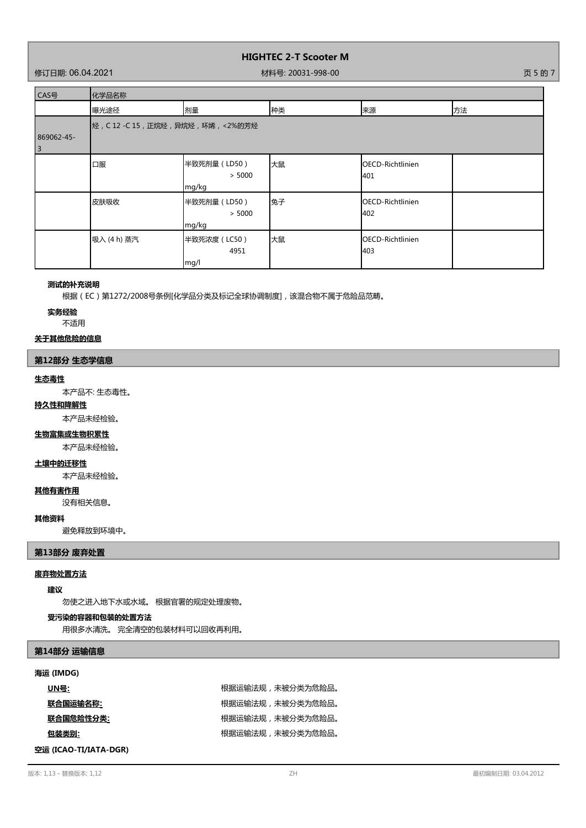### 修订日期: 06.04.2021 材料号: 20031-998-00 页 5 的 7

г

٦

| CAS号                                  | 化学品名称                                     |                                 |    |                                 |    |
|---------------------------------------|-------------------------------------------|---------------------------------|----|---------------------------------|----|
|                                       | 曝光途径                                      | 剂量                              | 种类 | 来源                              | 方法 |
| 869062-45-<br>$\overline{\mathbf{3}}$ | ┃烃 , C 12 -C 15 , 正烷烃 , 异烷烃 , 环烯 , <2%的芳烃 |                                 |    |                                 |    |
|                                       | 口服                                        | 半致死剂量 (LD50)<br>> 5000<br>mg/kg | 大鼠 | OECD-Richtlinien<br>401         |    |
|                                       | 皮肤吸收                                      | 半致死剂量 (LD50)<br>> 5000<br>mg/kg | 兔子 | <b>IOECD-Richtlinien</b><br>402 |    |
|                                       | 吸入 (4 h) 蒸汽                               | 半致死浓度 (LC50)<br>4951<br>mg/l    | 大鼠 | <b>IOECD-Richtlinien</b><br>403 |    |

#### **测试的补充说明**

根据(EC)第1272/2008号条例[化学品分类及标记全球协调制度],该混合物不属于危险品范畴。

**实务经验**

不适用

## **关于其他危险的信息**

## **第12部分 生态学信息**

#### **生态毒性**

本产品不: 生态毒性。

## **持久性和降解性**

本产品未经检验。

## **生物富集或生物积累性**

本产品未经检验。

### **土壤中的迁移性**

本产品未经检验。

#### **其他有害作用**

没有相关信息。

## **其他资料**

避免释放到环境中。

## **第13部分 废弃处置**

## **废弃物处置方法**

#### **建议**

勿使之进入地下水或水域。 根据官署的规定处理废物。

#### **受污染的容器和包装的处置方法**

用很多水清洗。 完全清空的包装材料可以回收再利用。

## **第14部分 运输信息**

#### **海运 (IMDG)**

| <u>UN号:</u> | 根据运输法规,未被分类为危险品。 |
|-------------|------------------|
| 联合国运输名称:    | 根据运输法规,未被分类为危险品。 |
| 联合国危险性分类:   | 根据运输法规,未被分类为危险品。 |
| 包装类别:       | 根据运输法规,未被分类为危险品。 |

**空运 (ICAO-TI/IATA-DGR)**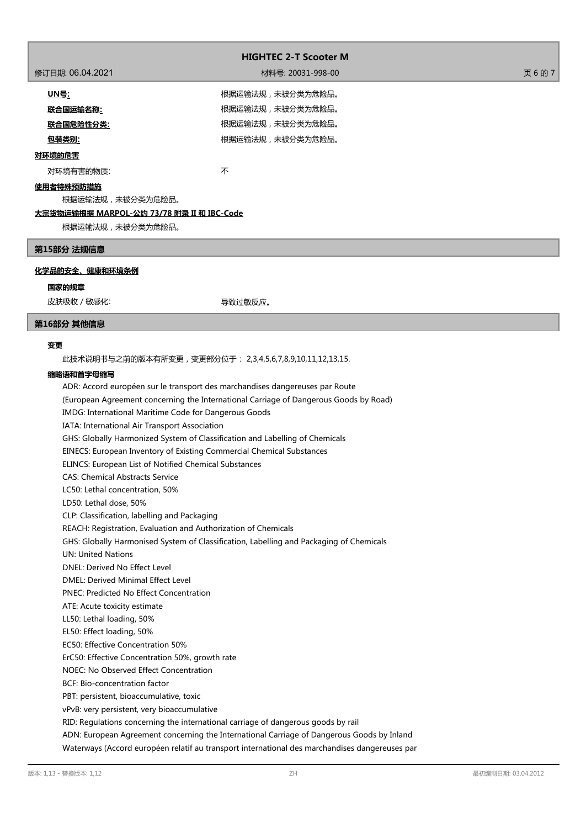|                                           | <b>HIGHTEC 2-T Scooter M</b> |      |
|-------------------------------------------|------------------------------|------|
|                                           |                              |      |
| 修订日期: 06.04.2021                          | 材料号: 20031-998-00            | 页6的7 |
| <u> UN号</u> :                             | 根据运输法规,未被分类为危险品。             |      |
| 联合国运输名称:                                  | 根据运输法规,未被分类为危险品。             |      |
| <u>联合国危险性分类:</u>                          | 根据运输法规,未被分类为危险品。             |      |
| 包装类别:                                     | 根据运输法规,未被分类为危险品。             |      |
| 对环境的危害                                    |                              |      |
| 对环境有害的物质:                                 | 不                            |      |
| 使用者特殊预防措施                                 |                              |      |
| 根据运输法规,未被分类为危险品。                          |                              |      |
| 大宗货物运输根据 MARPOL-公约 73/78 附录 II 和 IBC-Code |                              |      |

根据运输法规,未被分类为危险品。

## **第15部分 法规信息**

## **化学品的安全、健康和环境条例**

#### **国家的规章**

皮肤吸收 / 敏感化: インディオン インスポーツ マンクリン しゅうしょう マイン しゅうしょう

#### **第16部分 其他信息**

#### **变更**

此技术说明书与之前的版本有所变更,变更部分位于: 2,3,4,5,6,7,8,9,10,11,12,13,15.

#### **缩略语和首字母缩写**

ADR: Accord européen sur le transport des marchandises dangereuses par Route (European Agreement concerning the International Carriage of Dangerous Goods by Road) IMDG: International Maritime Code for Dangerous Goods IATA: International Air Transport Association GHS: Globally Harmonized System of Classification and Labelling of Chemicals EINECS: European Inventory of Existing Commercial Chemical Substances ELINCS: European List of Notified Chemical Substances CAS: Chemical Abstracts Service LC50: Lethal concentration, 50% LD50: Lethal dose, 50% CLP: Classification, labelling and Packaging REACH: Registration, Evaluation and Authorization of Chemicals GHS: Globally Harmonised System of Classification, Labelling and Packaging of Chemicals UN: United Nations DNEL: Derived No Effect Level DMEL: Derived Minimal Effect Level PNEC: Predicted No Effect Concentration ATE: Acute toxicity estimate LL50: Lethal loading, 50% EL50: Effect loading, 50% EC50: Effective Concentration 50% ErC50: Effective Concentration 50%, growth rate NOEC: No Observed Effect Concentration BCF: Bio-concentration factor PBT: persistent, bioaccumulative, toxic vPvB: very persistent, very bioaccumulative RID: Regulations concerning the international carriage of dangerous goods by rail ADN: European Agreement concerning the International Carriage of Dangerous Goods by Inland Waterways (Accord européen relatif au transport international des marchandises dangereuses par